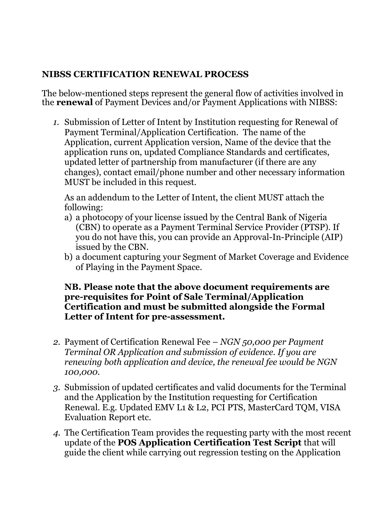## **NIBSS CERTIFICATION RENEWAL PROCESS**

The below-mentioned steps represent the general flow of activities involved in the **renewal** of Payment Devices and/or Payment Applications with NIBSS:

*1.* Submission of Letter of Intent by Institution requesting for Renewal of Payment Terminal/Application Certification. The name of the Application, current Application version, Name of the device that the application runs on, updated Compliance Standards and certificates, updated letter of partnership from manufacturer (if there are any changes), contact email/phone number and other necessary information MUST be included in this request.

As an addendum to the Letter of Intent, the client MUST attach the following:

- a) a photocopy of your license issued by the Central Bank of Nigeria (CBN) to operate as a Payment Terminal Service Provider (PTSP). If you do not have this, you can provide an Approval-In-Principle (AIP) issued by the CBN.
- b) a document capturing your Segment of Market Coverage and Evidence of Playing in the Payment Space.

## **NB. Please note that the above document requirements are pre-requisites for Point of Sale Terminal/Application Certification and must be submitted alongside the Formal Letter of Intent for pre-assessment.**

- *2.* Payment of Certification Renewal Fee *NGN 50,000 per Payment Terminal OR Application and submission of evidence. If you are renewing both application and device, the renewal fee would be NGN 100,000.*
- *3.* Submission of updated certificates and valid documents for the Terminal and the Application by the Institution requesting for Certification Renewal. E.g. Updated EMV L1 & L2, PCI PTS, MasterCard TQM, VISA Evaluation Report etc.
- *4.* The Certification Team provides the requesting party with the most recent update of the **POS Application Certification Test Script** that will guide the client while carrying out regression testing on the Application